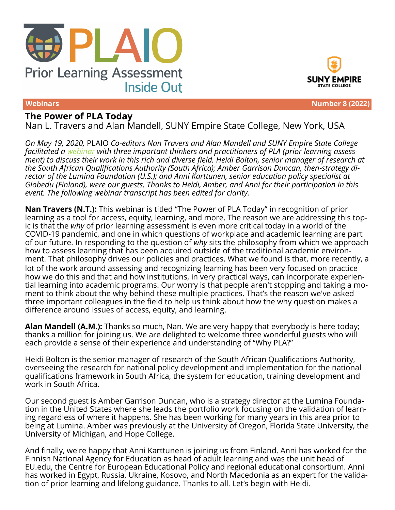



#### **Webinars Number 8 (2022)**

# **The Power of PLA Today**

Nan L. Travers and Alan Mandell, SUNY Empire State College, New York, USA

*On May 19, 2020,* PLAIO *Co-editors Nan Travers and Alan Mandell and SUNY Empire State College facilitated a [webinar](https://www.plaio.org/index.php/home/article/view/179) with three important thinkers and practitioners of PLA (prior learning assessment) to discuss their work in this rich and diverse field. Heidi Bolton, senior manager of research at the South African Qualifications Authority (South Africa); Amber Garrison Duncan, then-strategy director of the Lumina Foundation (U.S.); and Anni Karttunen, senior education policy specialist at Globedu (Finland), were our guests. Thanks to Heidi, Amber, and Anni for their participation in this event. The following webinar transcript has been edited for clarity.*

**Nan Travers (N.T.):** This webinar is titled "The Power of PLA Today" in recognition of prior learning as a tool for access, equity, learning, and more. The reason we are addressing this topic is that the *why* of prior learning assessment is even more critical today in a world of the COVID-19 pandemic, and one in which questions of workplace and academic learning are part of our future. In responding to the question of *why* sits the philosophy from which we approach how to assess learning that has been acquired outside of the traditional academic environment. That philosophy drives our policies and practices. What we found is that, more recently, a lot of the work around assessing and recognizing learning has been very focused on practice  $$ how we do this and that and how institutions, in very practical ways, can incorporate experiential learning into academic programs. Our worry is that people aren't stopping and taking a moment to think about the why behind these multiple practices. That's the reason we've asked three important colleagues in the field to help us think about how the why question makes a difference around issues of access, equity, and learning.

**Alan Mandell (A.M.):** Thanks so much, Nan. We are very happy that everybody is here today; thanks a million for joining us. We are delighted to welcome three wonderful guests who will each provide a sense of their experience and understanding of "Why PLA?"

Heidi Bolton is the senior manager of research of the South African Qualifications Authority, overseeing the research for national policy development and implementation for the national qualifications framework in South Africa, the system for education, training development and work in South Africa.

Our second guest is Amber Garrison Duncan, who is a strategy director at the Lumina Foundation in the United States where she leads the portfolio work focusing on the validation of learning regardless of where it happens. She has been working for many years in this area prior to being at Lumina. Amber was previously at the University of Oregon, Florida State University, the University of Michigan, and Hope College.

And finally, we're happy that Anni Karttunen is joining us from Finland. Anni has worked for the Finnish National Agency for Education as head of adult learning and was the unit head of EU.edu, the Centre for European Educational Policy and regional educational consortium. Anni has worked in Egypt, Russia, Ukraine, Kosovo, and North Macedonia as an expert for the validation of prior learning and lifelong guidance. Thanks to all. Let's begin with Heidi.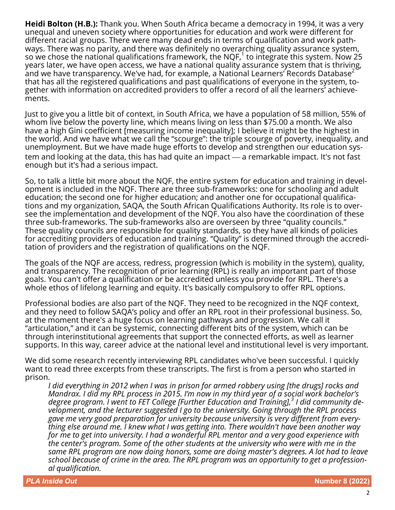**Heidi Bolton (H.B.):** Thank you. When South Africa became a democracy in 1994, it was a very unequal and uneven society where opportunities for education and work were different for different racial groups. There were many dead ends in terms of qualification and work pathways. There was no parity, and there was definitely no overarching quality assurance system, so we chose the national qualifications framework, the NQF, $^1$  to integrate this system. Now 25 years later, we have open access, we have a national quality assurance system that is thriving, and we have transparency. We've had, for example, a National Learners' Records Database<sup>2</sup> that has all the registered qualifications and past qualifications of everyone in the system, together with information on accredited providers to offer a record of all the learners' achievements.

Just to give you a little bit of context, in South Africa, we have a population of 58 million, 55% of whom live below the poverty line, which means living on less than \$75.00 a month. We also have a high Gini coefficient [measuring income inequality]; I believe it might be the highest in the world. And we have what we call the "scourge": the triple scourge of poverty, inequality, and unemployment. But we have made huge efforts to develop and strengthen our education system and looking at the data, this has had quite an impact — a remarkable impact. It's not fast enough but it's had a serious impact.

So, to talk a little bit more about the NQF, the entire system for education and training in development is included in the NQF. There are three sub-frameworks: one for schooling and adult education; the second one for higher education; and another one for occupational qualifications and my organization, SAQA, the South African Qualifications Authority. Its role is to oversee the implementation and development of the NQF. You also have the coordination of these three sub-frameworks. The sub-frameworks also are overseen by three "quality councils." These quality councils are responsible for quality standards, so they have all kinds of policies for accrediting providers of education and training. "Quality" is determined through the accreditation of providers and the registration of qualifications on the NQF.

The goals of the NQF are access, redress, progression (which is mobility in the system), quality, and transparency. The recognition of prior learning (RPL) is really an important part of those goals. You can't offer a qualification or be accredited unless you provide for RPL. There's a whole ethos of lifelong learning and equity. It's basically compulsory to offer RPL options.

Professional bodies are also part of the NQF. They need to be recognized in the NQF context, and they need to follow SAQA's policy and offer an RPL root in their professional business. So, at the moment there's a huge focus on learning pathways and progression. We call it "articulation," and it can be systemic, connecting different bits of the system, which can be through interinstitutional agreements that support the connected efforts, as well as learner supports. In this way, career advice at the national level and institutional level is very important.

We did some research recently interviewing RPL candidates who've been successful. I quickly want to read three excerpts from these transcripts. The first is from a person who started in prison.

*I did everything in 2012 when I was in prison for armed robbery using [the drugs] rocks and Mandrax. I did my RPL process in 2015. I'm now in my third year of a social work bachelor's degree program. I went to FET College [Further Education and Training],<sup>3</sup> I did community development, and the lecturer suggested I go to the university. Going through the RPL process gave me very good preparation for university because university is very different from everything else around me. I knew what I was getting into. There wouldn't have been another way for me to get into university. I had a wonderful RPL mentor and a very good experience with the center's program. Some of the other students at the university who were with me in the same RPL program are now doing honors, some are doing master's degrees. A lot had to leave school because of crime in the area. The RPL program was an opportunity to get a professional qualification.*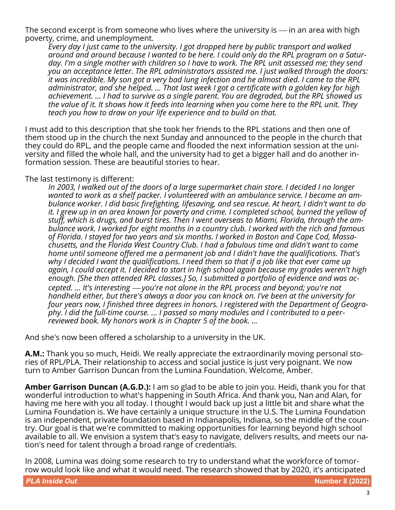The second excerpt is from someone who lives where the university is — in an area with high poverty, crime, and unemployment.

*Every day I just came to the university. I got dropped here by public transport and walked around and around because I wanted to be here. I could only do the RPL program on a Saturday. I'm a single mother with children so I have to work. The RPL unit assessed me; they send you an acceptance letter. The RPL administrators assisted me. I just walked through the doors: it was incredible. My son got a very bad lung infection and he almost died. I came to the RPL administrator, and she helped. … That last week I got a certificate with a golden key for high achievement. … I had to survive as a single parent. You are degraded, but the RPL showed us the value of it. It shows how it feeds into learning when you come here to the RPL unit. They teach you how to draw on your life experience and to build on that.*

I must add to this description that she took her friends to the RPL stations and then one of them stood up in the church the next Sunday and announced to the people in the church that they could do RPL, and the people came and flooded the next information session at the university and filled the whole hall, and the university had to get a bigger hall and do another information session. These are beautiful stories to hear.

#### The last testimony is different:

*In 2003, I walked out of the doors of a large supermarket chain store. I decided I no longer wanted to work as a shelf packer. I volunteered with an ambulance service. I became an ambulance worker. I did basic firefighting, lifesaving, and sea rescue. At heart, I didn't want to do it. I grew up in an area known for poverty and crime. I completed school, burned the yellow of stuff, which is drugs, and burst tires. Then I went overseas to Miami, Florida, through the ambulance work. I worked for eight months in a country club. I worked with the rich and famous of Florida. I stayed for two years and six months. I worked in Boston and Cape Cod, Massachusetts, and the Florida West Country Club. I had a fabulous time and didn't want to come home until someone offered me a permanent job and I didn't have the qualifications. That's why I decided I want the qualifications. I need them so that if a job like that ever came up again, I could accept it. I decided to start in high school again because my grades weren't high enough. [She then attended RPL classes.] So, I submitted a portfolio of evidence and was accepted. ...* It's interesting — you're not alone in the RPL process and beyond; you're not *handheld either, but there's always a door you can knock on. I've been at the university for four years now, I finished three degrees in honors. I registered with the Department of Geography. I did the full-time course. … I passed so many modules and I contributed to a peerreviewed book. My honors work is in Chapter 5 of the book. …*

And she's now been offered a scholarship to a university in the UK.

**A.M.:** Thank you so much, Heidi. We really appreciate the extraordinarily moving personal stories of RPL/PLA. Their relationship to access and social justice is just very poignant. We now turn to Amber Garrison Duncan from the Lumina Foundation. Welcome, Amber.

**Amber Garrison Duncan (A.G.D.):** I am so glad to be able to join you. Heidi, thank you for that wonderful introduction to what's happening in South Africa. And thank you, Nan and Alan, for having me here with you all today. I thought I would back up just a little bit and share what the Lumina Foundation is. We have certainly a unique structure in the U.S. The Lumina Foundation is an independent, private foundation based in Indianapolis, Indiana, so the middle of the country. Our goal is that we're committed to making opportunities for learning beyond high school available to all. We envision a system that's easy to navigate, delivers results, and meets our nation's need for talent through a broad range of credentials.

In 2008, Lumina was doing some research to try to understand what the workforce of tomorrow would look like and what it would need. The research showed that by 2020, it's anticipated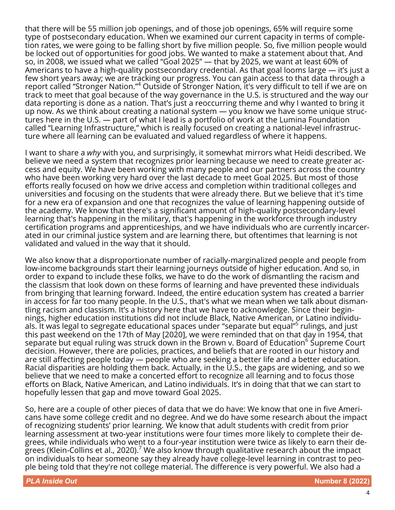that there will be 55 million job openings, and of those job openings, 65% will require some type of postsecondary education. When we examined our current capacity in terms of completion rates, we were going to be falling short by five million people. So, five million people would be locked out of opportunities for good jobs. We wanted to make a statement about that. And so, in 2008, we issued what we called "Goal 2025" — that by 2025, we want at least 60% of Americans to have a high-quality postsecondary credential. As that goal looms large — it's just a few short years away; we are tracking our progress. You can gain access to that data through a report called "Stronger Nation."<sup>4</sup> Outside of Stronger Nation, it's very difficult to tell if we are on track to meet that goal because of the way governance in the U.S. is structured and the way our data reporting is done as a nation. That's just a reoccurring theme and why I wanted to bring it up now. As we think about creating a national system — you know we have some unique structures here in the U.S. — part of what I lead is a portfolio of work at the Lumina Foundation called "Learning Infrastructure," which is really focused on creating a national-level infrastructure where all learning can be evaluated and valued regardless of where it happens.

I want to share a *why* with you, and surprisingly, it somewhat mirrors what Heidi described. We believe we need a system that recognizes prior learning because we need to create greater access and equity. We have been working with many people and our partners across the country who have been working very hard over the last decade to meet Goal 2025. But most of those efforts really focused on how we drive access and completion within traditional colleges and universities and focusing on the students that were already there. But we believe that it's time for a new era of expansion and one that recognizes the value of learning happening outside of the academy. We know that there's a significant amount of high-quality postsecondary-level learning that's happening in the military, that's happening in the workforce through industry certification programs and apprenticeships, and we have individuals who are currently incarcerated in our criminal justice system and are learning there, but oftentimes that learning is not validated and valued in the way that it should.

We also know that a disproportionate number of racially-marginalized people and people from low-income backgrounds start their learning journeys outside of higher education. And so, in order to expand to include these folks, we have to do the work of dismantling the racism and the classism that look down on these forms of learning and have prevented these individuals from bringing that learning forward. Indeed, the entire education system has created a barrier in access for far too many people. In the U.S., that's what we mean when we talk about dismantling racism and classism. It's a history here that we have to acknowledge. Since their beginnings, higher education institutions did not include Black, Native American, or Latino individuals. It was legal to segregate educational spaces under "separate but equal"<sup>5</sup> rulings, and just this past weekend on the 17th of May [2020], we were reminded that on that day in 1954, that  $s$ eparate but equal ruling was struck down in the Brown v. Board of Education $^6$  Supreme Court decision. However, there are policies, practices, and beliefs that are rooted in our history and are still affecting people today — people who are seeking a better life and a better education. Racial disparities are holding them back. Actually, in the U.S., the gaps are widening, and so we believe that we need to make a concerted effort to recognize all learning and to focus those efforts on Black, Native American, and Latino individuals. It's in doing that that we can start to hopefully lessen that gap and move toward Goal 2025.

So, here are a couple of other pieces of data that we do have: We know that one in five Americans have some college credit and no degree. And we do have some research about the impact of recognizing students' prior learning. We know that adult students with credit from prior learning assessment at two-year institutions were four times more likely to complete their degrees, while individuals who went to a four-year institution were twice as likely to earn their degrees (Klein-Collins et al., 2020). $\prime$  We also know through qualitative research about the impact on individuals to hear someone say they already have college-level learning in contrast to people being told that they're not college material. The difference is very powerful. We also had a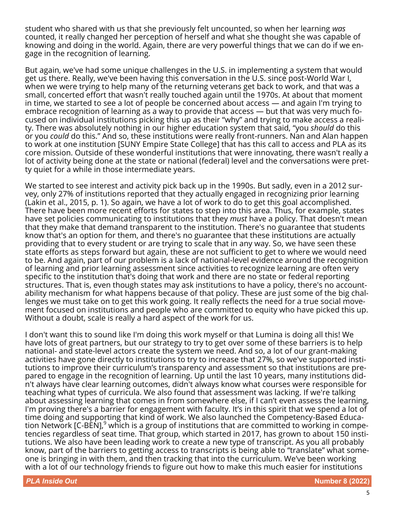student who shared with us that she previously felt uncounted, so when her learning *was* counted, it really changed her perception of herself and what she thought she was capable of knowing and doing in the world. Again, there are very powerful things that we can do if we engage in the recognition of learning.

But again, we've had some unique challenges in the U.S. in implementing a system that would get us there. Really, we've been having this conversation in the U.S. since post-World War I, when we were trying to help many of the returning veterans get back to work, and that was a small, concerted effort that wasn't really touched again until the 1970s. At about that moment in time, we started to see a lot of people be concerned about access — and again I'm trying to embrace recognition of learning as a way to provide that access — but that was very much focused on individual institutions picking this up as their "why" and trying to make access a reality. There was absolutely nothing in our higher education system that said, "you *should* do this or you *could* do this." And so, these institutions were really front-runners. Nan and Alan happen to work at one institution [SUNY Empire State College] that has this call to access and PLA as its core mission. Outside of these wonderful institutions that were innovating, there wasn't really a lot of activity being done at the state or national (federal) level and the conversations were pretty quiet for a while in those intermediate years.

We started to see interest and activity pick back up in the 1990s. But sadly, even in a 2012 survey, only 27% of institutions reported that they actually engaged in recognizing prior learning (Lakin et al., 2015, p. 1). So again, we have a lot of work to do to get this goal accomplished. There have been more recent efforts for states to step into this area. Thus, for example, states have set policies communicating to institutions that they *must* have a policy. That doesn't mean that they make that demand transparent to the institution. There's no guarantee that students know that's an option for them, and there's no guarantee that these institutions are actually providing that to every student or are trying to scale that in any way. So, we have seen these state efforts as steps forward but again, these are not sufficient to get to where we would need to be. And again, part of our problem is a lack of national-level evidence around the recognition of learning and prior learning assessment since activities to recognize learning are often very specific to the institution that's doing that work and there are no state or federal reporting structures. That is, even though states may ask institutions to have a policy, there's no accountability mechanism for what happens because of that policy. These are just some of the big challenges we must take on to get this work going. It really reflects the need for a true social movement focused on institutions and people who are committed to equity who have picked this up. Without a doubt, scale is really a hard aspect of the work for us.

I don't want this to sound like I'm doing this work myself or that Lumina is doing all this! We have lots of great partners, but our strategy to try to get over some of these barriers is to help national- and state-level actors create the system we need. And so, a lot of our grant-making activities have gone directly to institutions to try to increase that 27%, so we've supported institutions to improve their curriculum's transparency and assessment so that institutions are prepared to engage in the recognition of learning. Up until the last 10 years, many institutions didn't always have clear learning outcomes, didn't always know what courses were responsible for teaching what types of curricula. We also found that assessment was lacking. If we're talking about assessing learning that comes in from somewhere else, if I can't even assess the learning, I'm proving there's a barrier for engagement with faculty. It's in this spirit that we spend a lot of time doing and supporting that kind of work. We also launched the Competency-Based Education Network [C-BEN],<sup>9</sup> which is a group of institutions that are committed to working in competencies regardless of seat time. That group, which started in 2017, has grown to about 150 institutions. We also have been leading work to create a new type of transcript. As you all probably know, part of the barriers to getting access to transcripts is being able to "translate" what someone is bringing in with them, and then tracking that into the curriculum. We've been working with a lot of our technology friends to figure out how to make this much easier for institutions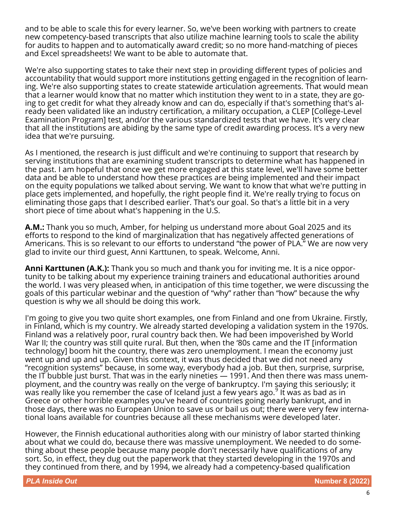and to be able to scale this for every learner. So, we've been working with partners to create new competency-based transcripts that also utilize machine learning tools to scale the ability for audits to happen and to automatically award credit; so no more hand-matching of pieces and Excel spreadsheets! We want to be able to automate that.

We're also supporting states to take their next step in providing different types of policies and accountability that would support more institutions getting engaged in the recognition of learning. We're also supporting states to create statewide articulation agreements. That would mean that a learner would know that no matter which institution they went to in a state, they are going to get credit for what they already know and can do, especially if that's something that's already been validated like an industry certification, a military occupation, a CLEP [College-Level Examination Program] test, and/or the various standardized tests that we have. It's very clear that all the institutions are abiding by the same type of credit awarding process. It's a very new idea that we're pursuing.

As I mentioned, the research is just difficult and we're continuing to support that research by serving institutions that are examining student transcripts to determine what has happened in the past. I am hopeful that once we get more engaged at this state level, we'll have some better data and be able to understand how these practices are being implemented and their impact on the equity populations we talked about serving. We want to know that what we're putting in place gets implemented, and hopefully, the right people find it. We're really trying to focus on eliminating those gaps that I described earlier. That's our goal. So that's a little bit in a very short piece of time about what's happening in the U.S.

**A.M.:** Thank you so much, Amber, for helping us understand more about Goal 2025 and its efforts to respond to the kind of marginalization that has negatively affected generations of Americans. This is so relevant to our efforts to understand "the power of PLA." We are now very glad to invite our third guest, Anni Karttunen, to speak. Welcome, Anni.

**Anni Karttunen (A.K.):** Thank you so much and thank you for inviting me. It is a nice opportunity to be talking about my experience training trainers and educational authorities around the world. I was very pleased when, in anticipation of this time together, we were discussing the goals of this particular webinar and the question of "why" rather than "how" because the why question is why we all should be doing this work.

I'm going to give you two quite short examples, one from Finland and one from Ukraine. Firstly, in Finland, which is my country. We already started developing a validation system in the 1970s. Finland was a relatively poor, rural country back then. We had been impoverished by World War II; the country was still quite rural. But then, when the '80s came and the IT [information technology] boom hit the country, there was zero unemployment. I mean the economy just went up and up and up. Given this context, it was thus decided that we did not need any "recognition systems" because, in some way, everybody had a job. But then, surprise, surprise, the IT bubble just burst. That was in the early nineties — 1991. And then there was mass unemployment, and the country was really on the verge of bankruptcy. I'm saying this seriously; it was really like you remember the case of Iceland just a few years ago. $9$  It was as bad as in  $\sim$ Greece or other horrible examples you've heard of countries going nearly bankrupt, and in those days, there was no European Union to save us or bail us out; there were very few international loans available for countries because all these mechanisms were developed later.

However, the Finnish educational authorities along with our ministry of labor started thinking about what we could do, because there was massive unemployment. We needed to do something about these people because many people don't necessarily have qualifications of any sort. So, in effect, they dug out the paperwork that they started developing in the 1970s and they continued from there, and by 1994, we already had a competency-based qualification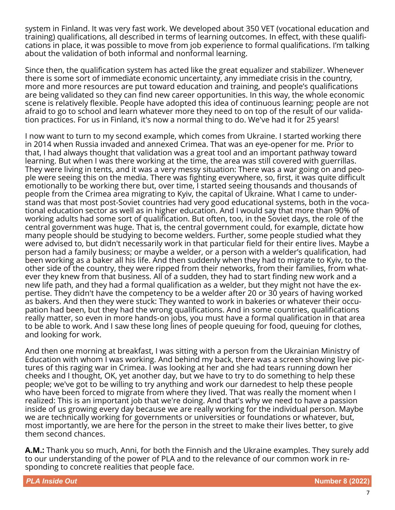system in Finland. It was very fast work. We developed about 350 VET (vocational education and training) qualifications, all described in terms of learning outcomes. In effect, with these qualifications in place, it was possible to move from job experience to formal qualifications. I'm talking about the validation of both informal and nonformal learning.

Since then, the qualification system has acted like the great equalizer and stabilizer. Whenever there is some sort of immediate economic uncertainty, any immediate crisis in the country, more and more resources are put toward education and training, and people's qualifications are being validated so they can find new career opportunities. In this way, the whole economic scene is relatively flexible. People have adopted this idea of continuous learning; people are not afraid to go to school and learn whatever more they need to on top of the result of our validation practices. For us in Finland, it's now a normal thing to do. We've had it for 25 years!

I now want to turn to my second example, which comes from Ukraine. I started working there in 2014 when Russia invaded and annexed Crimea. That was an eye-opener for me. Prior to that, I had always thought that validation was a great tool and an important pathway toward learning. But when I was there working at the time, the area was still covered with guerrillas. They were living in tents, and it was a very messy situation: There was a war going on and people were seeing this on the media. There was fighting everywhere, so, first, it was quite difficult emotionally to be working there but, over time, I started seeing thousands and thousands of people from the Crimea area migrating to Kyiv, the capital of Ukraine. What I came to understand was that most post-Soviet countries had very good educational systems, both in the vocational education sector as well as in higher education. And I would say that more than 90% of working adults had some sort of qualification. But often, too, in the Soviet days, the role of the central government was huge. That is, the central government could, for example, dictate how many people should be studying to become welders. Further, some people studied what they were advised to, but didn't necessarily work in that particular field for their entire lives. Maybe a person had a family business; or maybe a welder, or a person with a welder's qualification, had been working as a baker all his life. And then suddenly when they had to migrate to Kyiv, to the other side of the country, they were ripped from their networks, from their families, from whatever they knew from that business. All of a sudden, they had to start finding new work and a new life path, and they had a formal qualification as a welder, but they might not have the expertise. They didn't have the competency to be a welder after 20 or 30 years of having worked as bakers. And then they were stuck: They wanted to work in bakeries or whatever their occupation had been, but they had the wrong qualifications. And in some countries, qualifications really matter, so even in more hands-on jobs, you must have a formal qualification in that area to be able to work. And I saw these long lines of people queuing for food, queuing for clothes, and looking for work.

And then one morning at breakfast, I was sitting with a person from the Ukrainian Ministry of Education with whom I was working. And behind my back, there was a screen showing live pictures of this raging war in Crimea. I was looking at her and she had tears running down her cheeks and I thought, OK, yet another day, but we have to try to do something to help these people; we've got to be willing to try anything and work our darnedest to help these people who have been forced to migrate from where they lived. That was really the moment when I realized: This is an important job that we're doing. And that's why we need to have a passion inside of us growing every day because we are really working for the individual person. Maybe we are technically working for governments or universities or foundations or whatever, but, most importantly, we are here for the person in the street to make their lives better, to give them second chances.

**A.M.:** Thank you so much, Anni, for both the Finnish and the Ukraine examples. They surely add to our understanding of the power of PLA and to the relevance of our common work in responding to concrete realities that people face.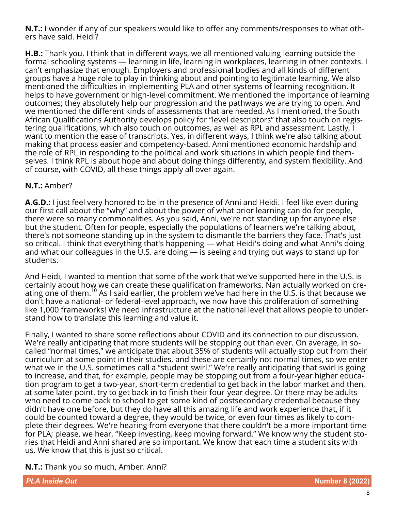**N.T.:** I wonder if any of our speakers would like to offer any comments/responses to what others have said. Heidi?

**H.B.:** Thank you. I think that in different ways, we all mentioned valuing learning outside the formal schooling systems — learning in life, learning in workplaces, learning in other contexts. I can't emphasize that enough. Employers and professional bodies and all kinds of different groups have a huge role to play in thinking about and pointing to legitimate learning. We also mentioned the difficulties in implementing PLA and other systems of learning recognition. It helps to have government or high-level commitment. We mentioned the importance of learning outcomes; they absolutely help our progression and the pathways we are trying to open. And we mentioned the different kinds of assessments that are needed. As I mentioned, the South African Qualifications Authority develops policy for "level descriptors" that also touch on registering qualifications, which also touch on outcomes, as well as RPL and assessment. Lastly, I want to mention the ease of transcripts. Yes, in different ways, I think we're also talking about making that process easier and competency-based. Anni mentioned economic hardship and the role of RPL in responding to the political and work situations in which people find themselves. I think RPL is about hope and about doing things differently, and system flexibility. And of course, with COVID, all these things apply all over again.

# **N.T.:** Amber?

**A.G.D.:** I just feel very honored to be in the presence of Anni and Heidi. I feel like even during our first call about the "why" and about the power of what prior learning can do for people, there were so many commonalities. As you said, Anni, we're not standing up for anyone else but the student. Often for people, especially the populations of learners we're talking about, there's not someone standing up in the system to dismantle the barriers they face. That's just so critical. I think that everything that's happening — what Heidi's doing and what Anni's doing and what our colleagues in the U.S. are doing — is seeing and trying out ways to stand up for students.

And Heidi, I wanted to mention that some of the work that we've supported here in the U.S. is certainly about how we can create these qualification frameworks. Nan actually worked on creating one of them.<sup>10</sup> As I said earlier, the problem we've had here in the U.S. is that because we don't have a national- or federal-level approach, we now have this proliferation of something like 1,000 frameworks! We need infrastructure at the national level that allows people to understand how to translate this learning and value it.

Finally, I wanted to share some reflections about COVID and its connection to our discussion. We're really anticipating that more students will be stopping out than ever. On average, in socalled "normal times," we anticipate that about 35% of students will actually stop out from their curriculum at some point in their studies, and these are certainly not normal times, so we enter what we in the U.S. sometimes call a "student swirl." We're really anticipating that swirl is going to increase, and that, for example, people may be stopping out from a four-year higher education program to get a two-year, short-term credential to get back in the labor market and then, at some later point, try to get back in to finish their four-year degree. Or there may be adults who need to come back to school to get some kind of postsecondary credential because they didn't have one before, but they do have all this amazing life and work experience that, if it could be counted toward a degree, they would be twice, or even four times as likely to complete their degrees. We're hearing from everyone that there couldn't be a more important time for PLA; please, we hear, "Keep investing, keep moving forward." We know why the student stories that Heidi and Anni shared are so important. We know that each time a student sits with us. We know that this is just so critical.

# **N.T.:** Thank you so much, Amber. Anni?